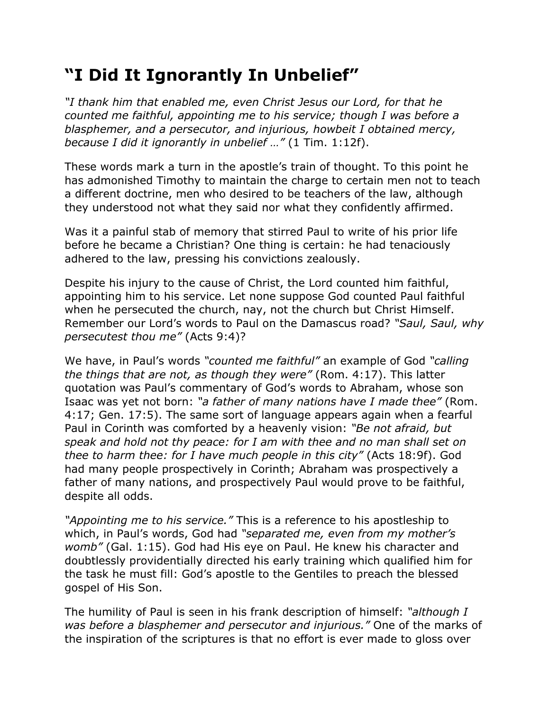## **"I Did It Ignorantly In Unbelief"**

*"I thank him that enabled me, even Christ Jesus our Lord, for that he counted me faithful, appointing me to his service; though I was before a blasphemer, and a persecutor, and injurious, howbeit I obtained mercy, because I did it ignorantly in unbelief …"* (1 Tim. 1:12f).

These words mark a turn in the apostle's train of thought. To this point he has admonished Timothy to maintain the charge to certain men not to teach a different doctrine, men who desired to be teachers of the law, although they understood not what they said nor what they confidently affirmed.

Was it a painful stab of memory that stirred Paul to write of his prior life before he became a Christian? One thing is certain: he had tenaciously adhered to the law, pressing his convictions zealously.

Despite his injury to the cause of Christ, the Lord counted him faithful, appointing him to his service. Let none suppose God counted Paul faithful when he persecuted the church, nay, not the church but Christ Himself. Remember our Lord's words to Paul on the Damascus road? *"Saul, Saul, why persecutest thou me"* (Acts 9:4)?

We have, in Paul's words *"counted me faithful"* an example of God *"calling the things that are not, as though they were"* (Rom. 4:17). This latter quotation was Paul's commentary of God's words to Abraham, whose son Isaac was yet not born: *"a father of many nations have I made thee"* (Rom. 4:17; Gen. 17:5). The same sort of language appears again when a fearful Paul in Corinth was comforted by a heavenly vision: *"Be not afraid, but speak and hold not thy peace: for I am with thee and no man shall set on thee to harm thee: for I have much people in this city"* (Acts 18:9f). God had many people prospectively in Corinth; Abraham was prospectively a father of many nations, and prospectively Paul would prove to be faithful, despite all odds.

*"Appointing me to his service."* This is a reference to his apostleship to which, in Paul's words, God had *"separated me, even from my mother's womb"* (Gal. 1:15). God had His eye on Paul. He knew his character and doubtlessly providentially directed his early training which qualified him for the task he must fill: God's apostle to the Gentiles to preach the blessed gospel of His Son.

The humility of Paul is seen in his frank description of himself: *"although I was before a blasphemer and persecutor and injurious."* One of the marks of the inspiration of the scriptures is that no effort is ever made to gloss over